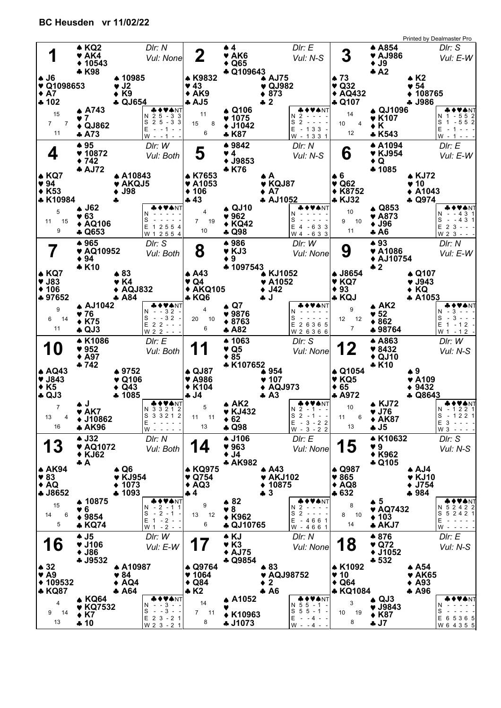